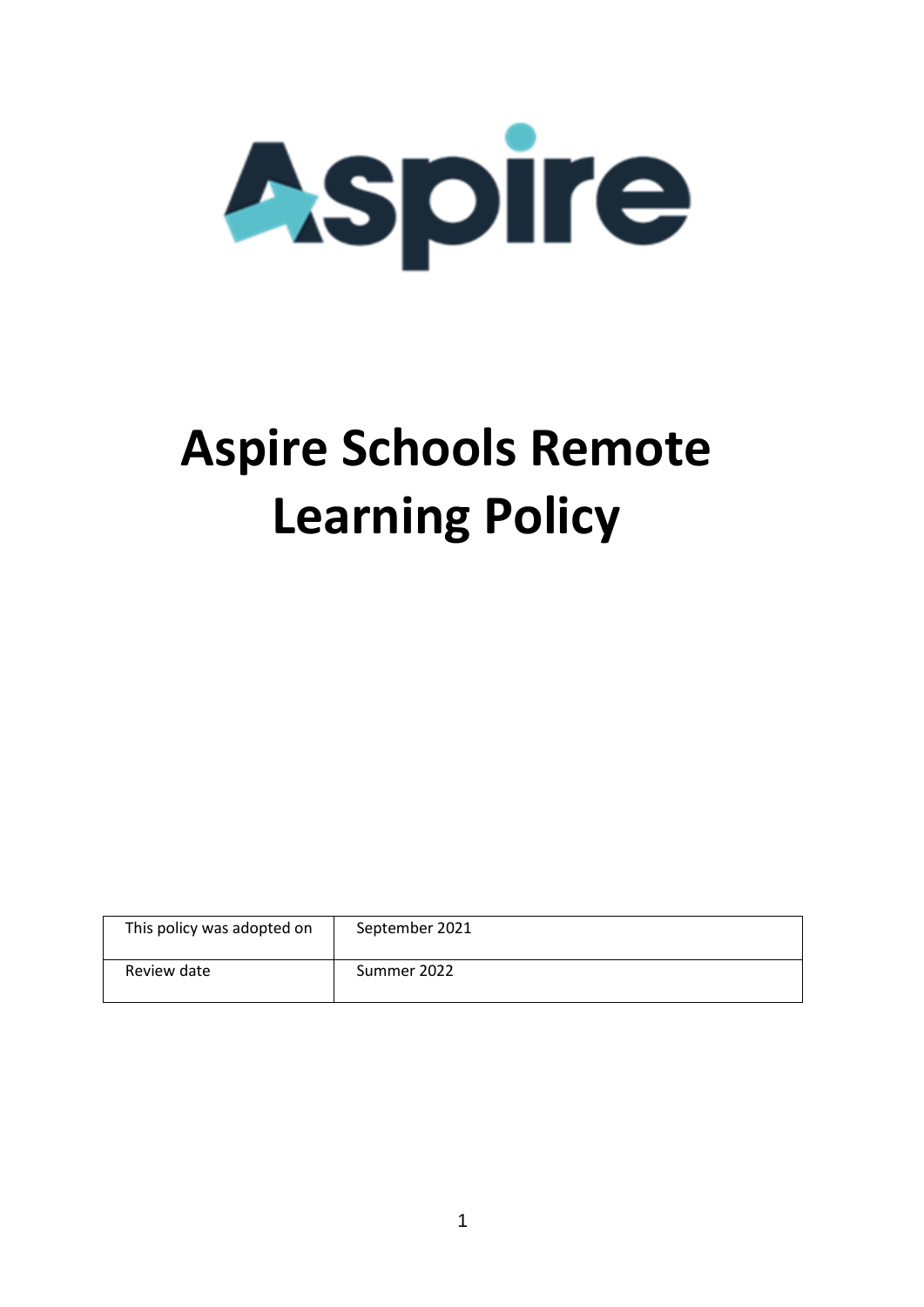

# **Aspire Schools Remote Learning Policy**

| This policy was adopted on | September 2021 |
|----------------------------|----------------|
| Review date                | Summer 2022    |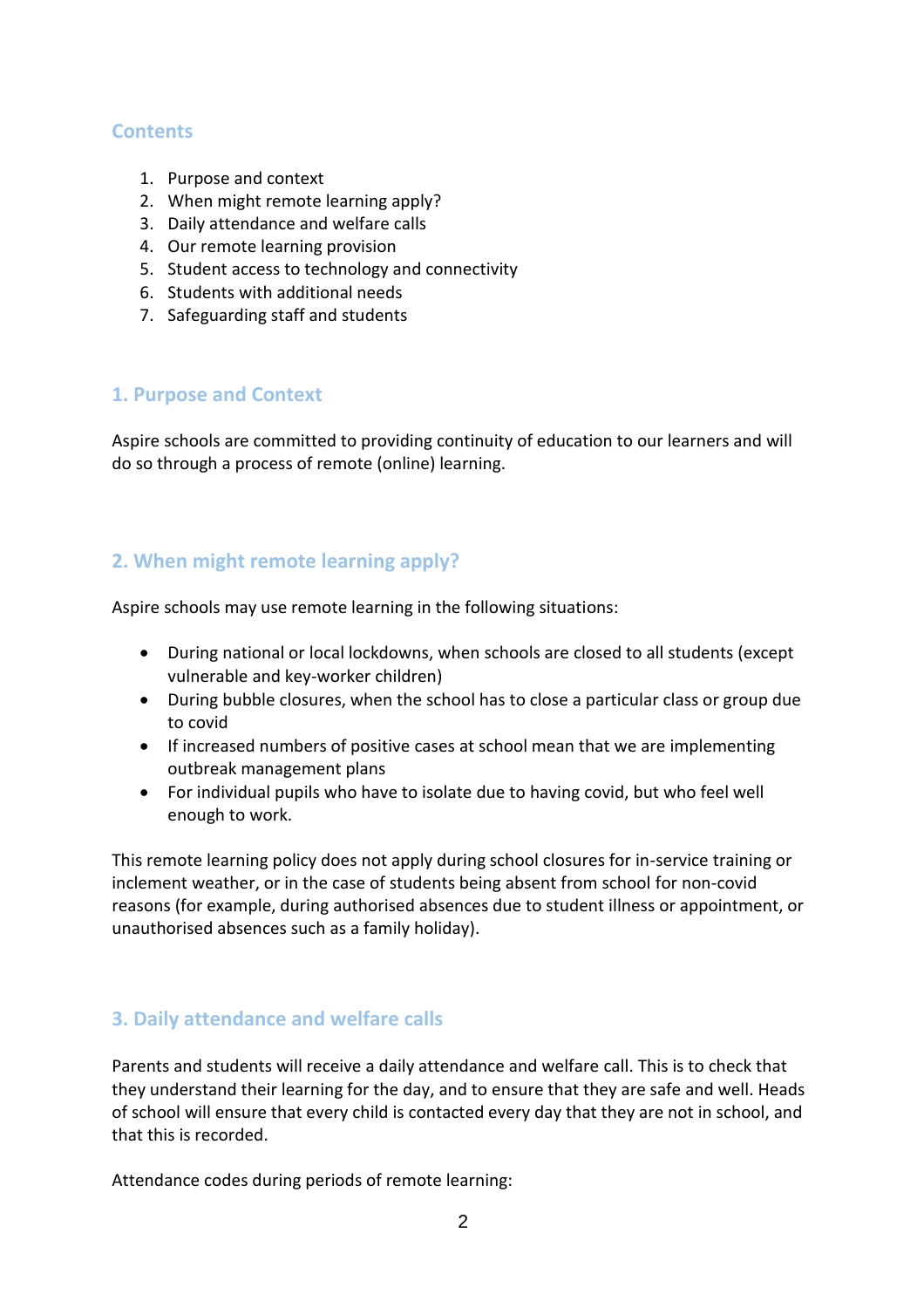#### **Contents**

- 1. Purpose and context
- 2. When might remote learning apply?
- 3. Daily attendance and welfare calls
- 4. Our remote learning provision
- 5. Student access to technology and connectivity
- 6. Students with additional needs
- 7. Safeguarding staff and students

#### **1. Purpose and Context**

Aspire schools are committed to providing continuity of education to our learners and will do so through a process of remote (online) learning.

# **2. When might remote learning apply?**

Aspire schools may use remote learning in the following situations:

- During national or local lockdowns, when schools are closed to all students (except vulnerable and key-worker children)
- During bubble closures, when the school has to close a particular class or group due to covid
- If increased numbers of positive cases at school mean that we are implementing outbreak management plans
- For individual pupils who have to isolate due to having covid, but who feel well enough to work.

This remote learning policy does not apply during school closures for in-service training or inclement weather, or in the case of students being absent from school for non-covid reasons (for example, during authorised absences due to student illness or appointment, or unauthorised absences such as a family holiday).

## **3. Daily attendance and welfare calls**

Parents and students will receive a daily attendance and welfare call. This is to check that they understand their learning for the day, and to ensure that they are safe and well. Heads of school will ensure that every child is contacted every day that they are not in school, and that this is recorded.

Attendance codes during periods of remote learning: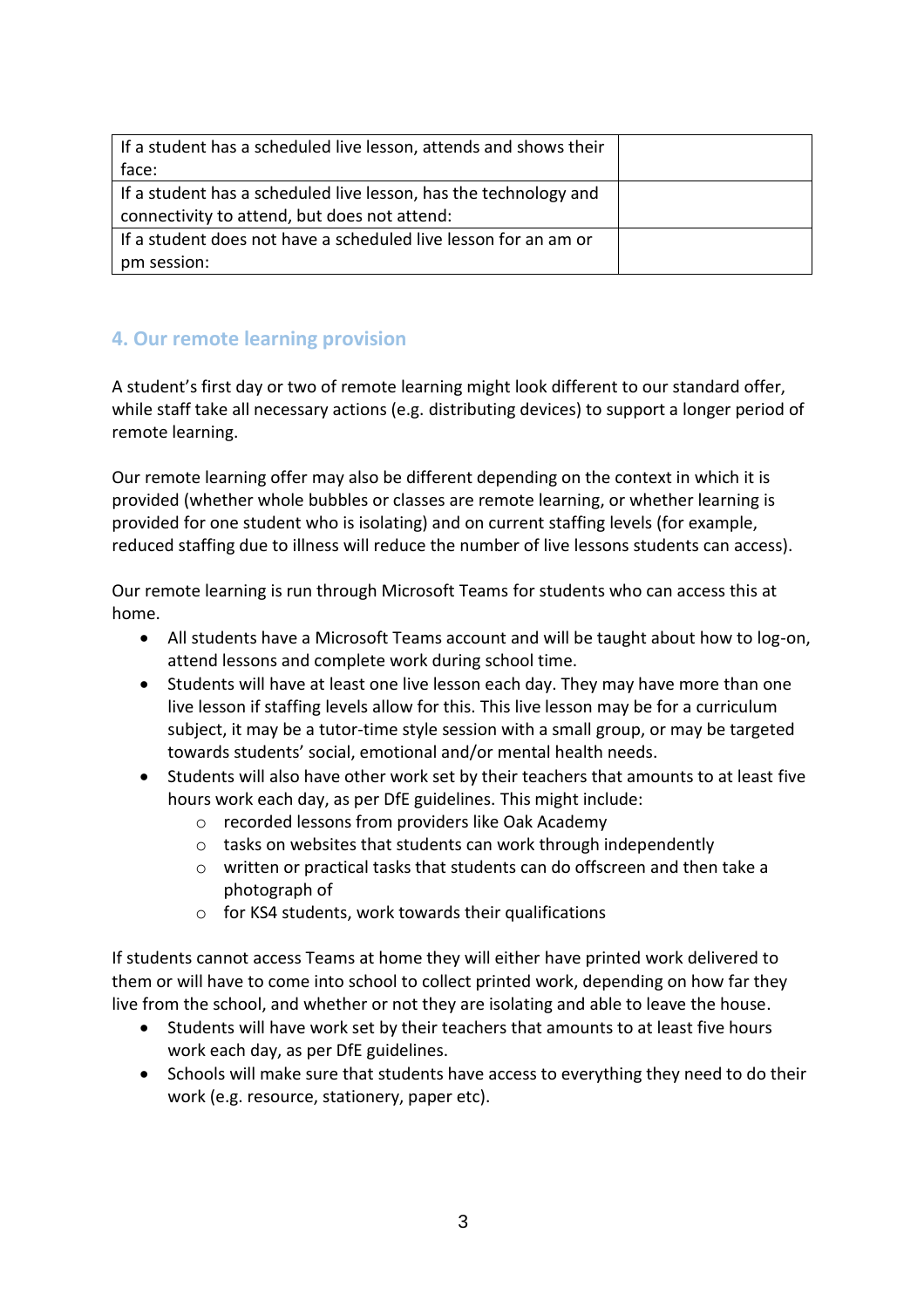| If a student has a scheduled live lesson, attends and shows their |  |
|-------------------------------------------------------------------|--|
| face:                                                             |  |
| If a student has a scheduled live lesson, has the technology and  |  |
| connectivity to attend, but does not attend:                      |  |
| If a student does not have a scheduled live lesson for an am or   |  |
| pm session:                                                       |  |

# **4. Our remote learning provision**

A student's first day or two of remote learning might look different to our standard offer, while staff take all necessary actions (e.g. distributing devices) to support a longer period of remote learning.

Our remote learning offer may also be different depending on the context in which it is provided (whether whole bubbles or classes are remote learning, or whether learning is provided for one student who is isolating) and on current staffing levels (for example, reduced staffing due to illness will reduce the number of live lessons students can access).

Our remote learning is run through Microsoft Teams for students who can access this at home.

- All students have a Microsoft Teams account and will be taught about how to log-on, attend lessons and complete work during school time.
- Students will have at least one live lesson each day. They may have more than one live lesson if staffing levels allow for this. This live lesson may be for a curriculum subject, it may be a tutor-time style session with a small group, or may be targeted towards students' social, emotional and/or mental health needs.
- Students will also have other work set by their teachers that amounts to at least five hours work each day, as per DfE guidelines. This might include:
	- o recorded lessons from providers like Oak Academy
	- o tasks on websites that students can work through independently
	- o written or practical tasks that students can do offscreen and then take a photograph of
	- o for KS4 students, work towards their qualifications

If students cannot access Teams at home they will either have printed work delivered to them or will have to come into school to collect printed work, depending on how far they live from the school, and whether or not they are isolating and able to leave the house.

- Students will have work set by their teachers that amounts to at least five hours work each day, as per DfE guidelines.
- Schools will make sure that students have access to everything they need to do their work (e.g. resource, stationery, paper etc).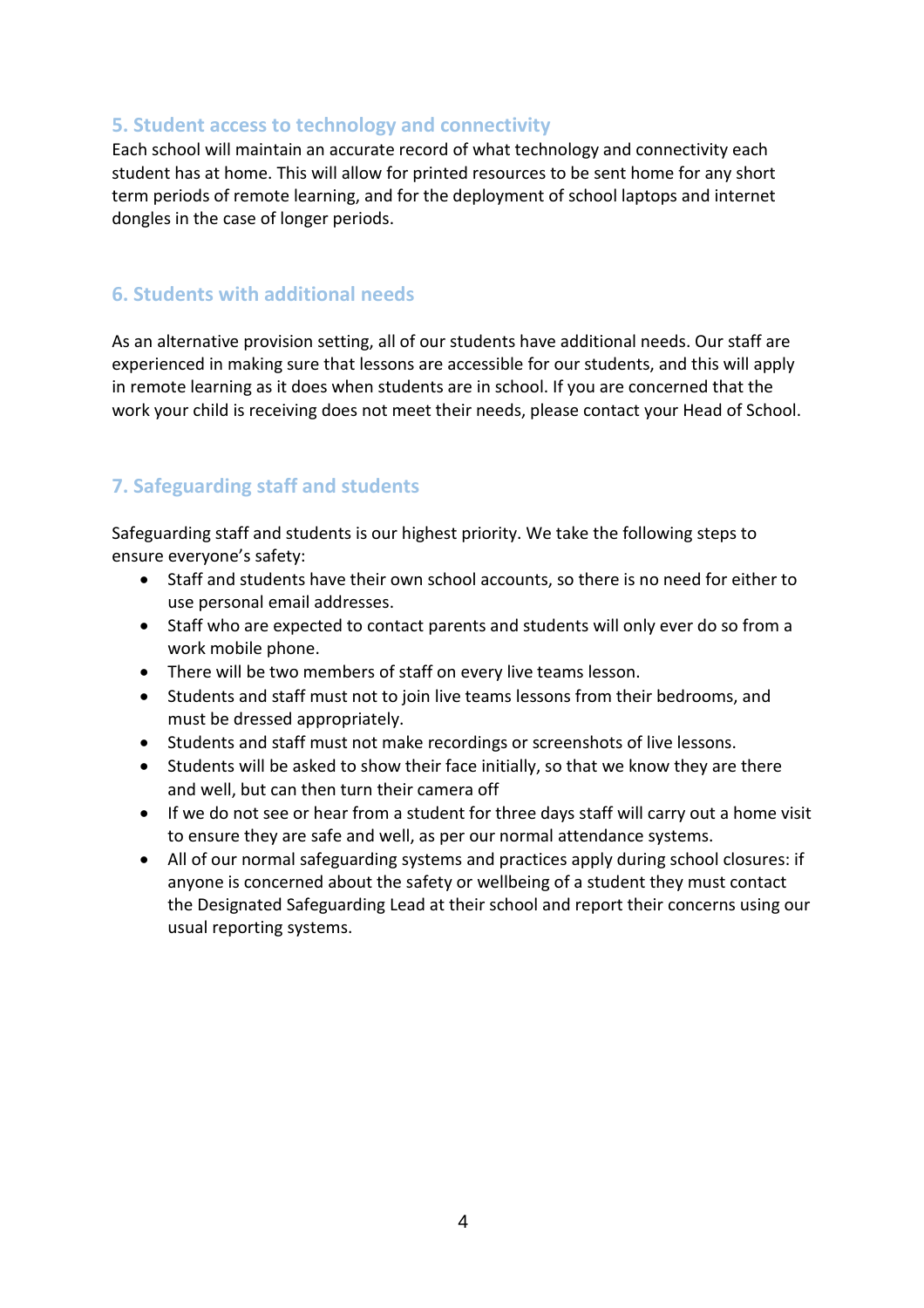#### **5. Student access to technology and connectivity**

Each school will maintain an accurate record of what technology and connectivity each student has at home. This will allow for printed resources to be sent home for any short term periods of remote learning, and for the deployment of school laptops and internet dongles in the case of longer periods.

#### **6. Students with additional needs**

As an alternative provision setting, all of our students have additional needs. Our staff are experienced in making sure that lessons are accessible for our students, and this will apply in remote learning as it does when students are in school. If you are concerned that the work your child is receiving does not meet their needs, please contact your Head of School.

## **7. Safeguarding staff and students**

Safeguarding staff and students is our highest priority. We take the following steps to ensure everyone's safety:

- Staff and students have their own school accounts, so there is no need for either to use personal email addresses.
- Staff who are expected to contact parents and students will only ever do so from a work mobile phone.
- There will be two members of staff on every live teams lesson.
- Students and staff must not to join live teams lessons from their bedrooms, and must be dressed appropriately.
- Students and staff must not make recordings or screenshots of live lessons.
- Students will be asked to show their face initially, so that we know they are there and well, but can then turn their camera off
- If we do not see or hear from a student for three days staff will carry out a home visit to ensure they are safe and well, as per our normal attendance systems.
- All of our normal safeguarding systems and practices apply during school closures: if anyone is concerned about the safety or wellbeing of a student they must contact the Designated Safeguarding Lead at their school and report their concerns using our usual reporting systems.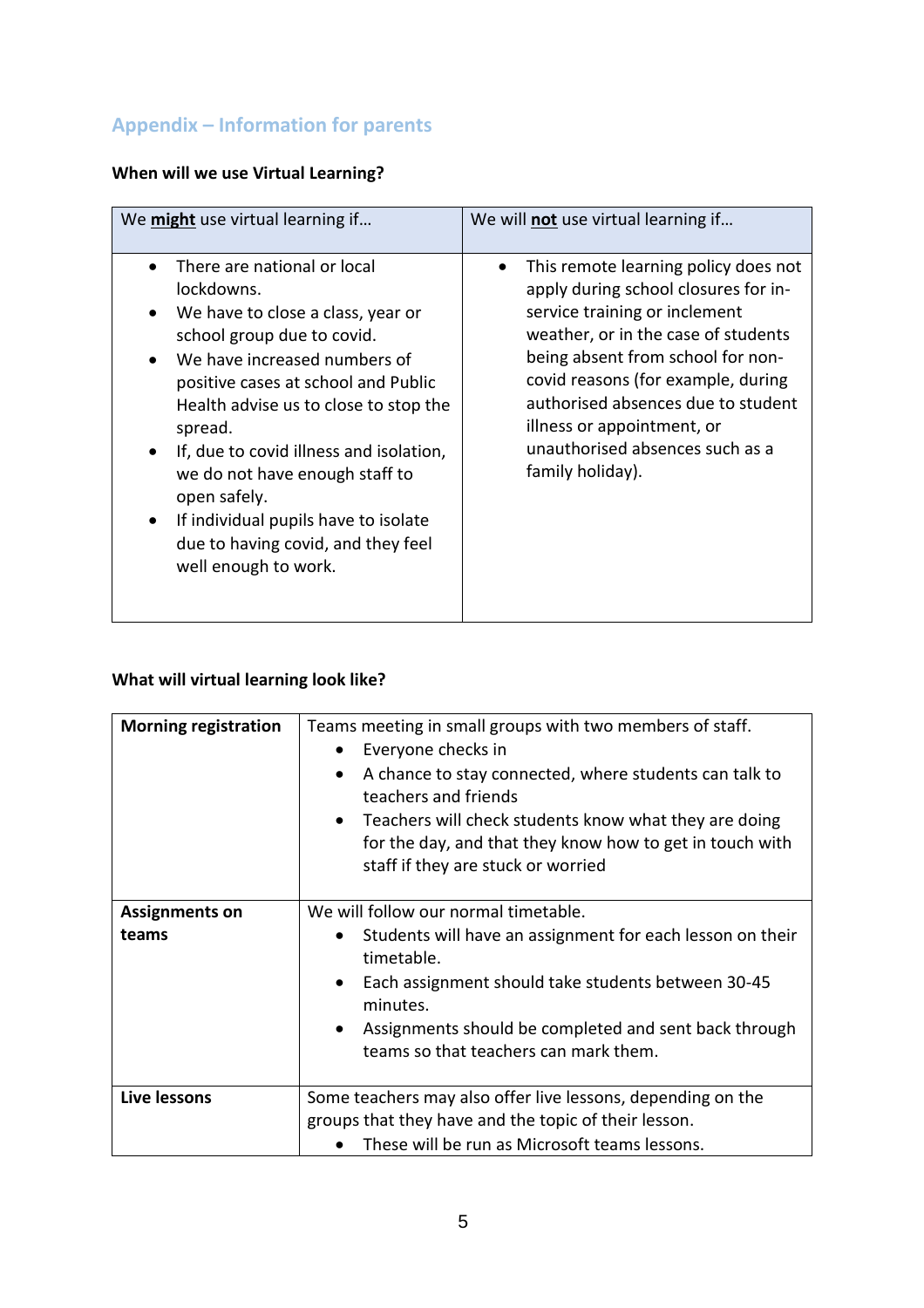# **Appendix – Information for parents**

# **When will we use Virtual Learning?**

| We might use virtual learning if                                                                                                                                                                                                                                                                                                                                                                                                                                                                            | We will not use virtual learning if                                                                                                                                                                                                                                                                                                                        |
|-------------------------------------------------------------------------------------------------------------------------------------------------------------------------------------------------------------------------------------------------------------------------------------------------------------------------------------------------------------------------------------------------------------------------------------------------------------------------------------------------------------|------------------------------------------------------------------------------------------------------------------------------------------------------------------------------------------------------------------------------------------------------------------------------------------------------------------------------------------------------------|
| There are national or local<br>$\bullet$<br>lockdowns.<br>We have to close a class, year or<br>$\bullet$<br>school group due to covid.<br>We have increased numbers of<br>$\bullet$<br>positive cases at school and Public<br>Health advise us to close to stop the<br>spread.<br>If, due to covid illness and isolation,<br>$\bullet$<br>we do not have enough staff to<br>open safely.<br>If individual pupils have to isolate<br>$\bullet$<br>due to having covid, and they feel<br>well enough to work. | This remote learning policy does not<br>apply during school closures for in-<br>service training or inclement<br>weather, or in the case of students<br>being absent from school for non-<br>covid reasons (for example, during<br>authorised absences due to student<br>illness or appointment, or<br>unauthorised absences such as a<br>family holiday). |

# **What will virtual learning look like?**

| <b>Morning registration</b>    | Teams meeting in small groups with two members of staff.<br>Everyone checks in<br>٠<br>A chance to stay connected, where students can talk to<br>$\bullet$<br>teachers and friends<br>Teachers will check students know what they are doing<br>$\bullet$<br>for the day, and that they know how to get in touch with<br>staff if they are stuck or worried |
|--------------------------------|------------------------------------------------------------------------------------------------------------------------------------------------------------------------------------------------------------------------------------------------------------------------------------------------------------------------------------------------------------|
| <b>Assignments on</b><br>teams | We will follow our normal timetable.<br>Students will have an assignment for each lesson on their<br>$\bullet$<br>timetable.<br>Each assignment should take students between 30-45<br>$\bullet$<br>minutes.<br>Assignments should be completed and sent back through<br>$\bullet$<br>teams so that teachers can mark them.                                 |
| <b>Live lessons</b>            | Some teachers may also offer live lessons, depending on the<br>groups that they have and the topic of their lesson.<br>These will be run as Microsoft teams lessons.                                                                                                                                                                                       |